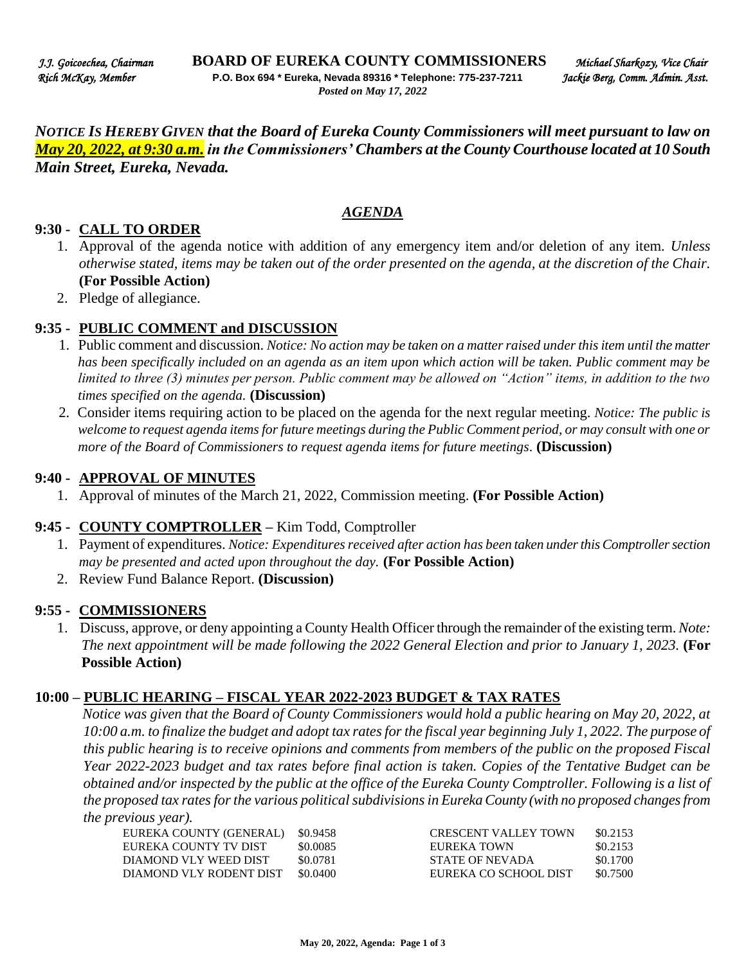*NOTICE IS HEREBY GIVEN that the Board of Eureka County Commissioners will meet pursuant to law on May 20, 2022, at 9:30 a.m. in the Commissioners' Chambers at the County Courthouse located at 10 South Main Street, Eureka, Nevada.* 

### *AGENDA*

### **9:30 - CALL TO ORDER**

- 1. Approval of the agenda notice with addition of any emergency item and/or deletion of any item. *Unless otherwise stated, items may be taken out of the order presented on the agenda, at the discretion of the Chair.* **(For Possible Action)**
- 2. Pledge of allegiance.

### **9:35 - PUBLIC COMMENT and DISCUSSION**

- 1. Public comment and discussion. *Notice: No action may be taken on a matter raised under this item until the matter has been specifically included on an agenda as an item upon which action will be taken. Public comment may be limited to three (3) minutes per person. Public comment may be allowed on "Action" items, in addition to the two times specified on the agenda.* **(Discussion)**
- 2. Consider items requiring action to be placed on the agenda for the next regular meeting. *Notice: The public is welcome to request agenda items for future meetings during the Public Comment period, or may consult with one or more of the Board of Commissioners to request agenda items for future meetings*. **(Discussion)**

#### **9:40 - APPROVAL OF MINUTES**

1. Approval of minutes of the March 21, 2022, Commission meeting. **(For Possible Action)** 

### **9:45 - COUNTY COMPTROLLER –** Kim Todd, Comptroller

- 1. Payment of expenditures. *Notice: Expenditures received after action has been taken under this Comptroller section may be presented and acted upon throughout the day.* **(For Possible Action)**
- 2. Review Fund Balance Report. **(Discussion)**

### **9:55 - COMMISSIONERS**

1. Discuss, approve, or deny appointing a County Health Officer through the remainder of the existing term. *Note: The next appointment will be made following the 2022 General Election and prior to January 1, 2023.* **(For Possible Action)** 

#### **10:00 – PUBLIC HEARING – FISCAL YEAR 2022-2023 BUDGET & TAX RATES**

*Notice was given that the Board of County Commissioners would hold a public hearing on May 20, 2022, at 10:00 a.m. to finalize the budget and adopt tax rates for the fiscal year beginning July 1, 2022. The purpose of this public hearing is to receive opinions and comments from members of the public on the proposed Fiscal Year 2022-2023 budget and tax rates before final action is taken. Copies of the Tentative Budget can be obtained and/or inspected by the public at the office of the Eureka County Comptroller. Following is a list of the proposed tax rates for the various political subdivisions in Eureka County (with no proposed changes from the previous year).* 

| \$0.9458 | <b>CRESCENT VALLEY TOWN</b> | \$0.2153 |
|----------|-----------------------------|----------|
| \$0.0085 | EUREKA TOWN                 | \$0.2153 |
| \$0.0781 | STATE OF NEVADA             | \$0.1700 |
| \$0.0400 | EUREKA CO SCHOOL DIST       | \$0.7500 |
|          |                             |          |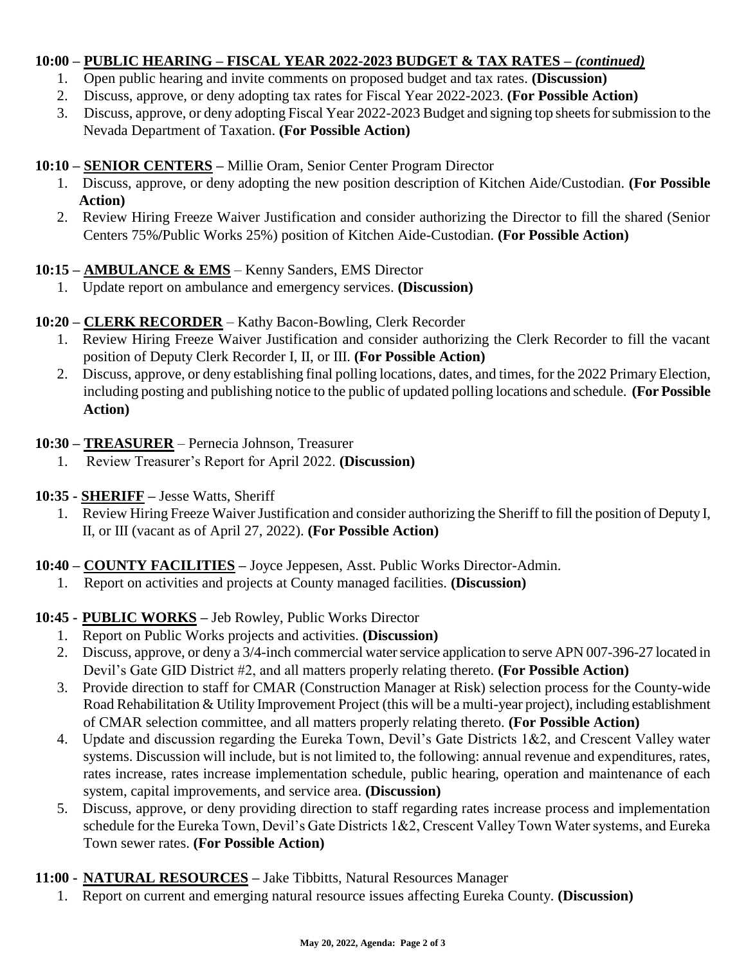## **10:00 – PUBLIC HEARING – FISCAL YEAR 2022-2023 BUDGET & TAX RATES** *– (continued)*

- 1. Open public hearing and invite comments on proposed budget and tax rates. **(Discussion)**
- 2. Discuss, approve, or deny adopting tax rates for Fiscal Year 2022-2023. **(For Possible Action)**
- 3. Discuss, approve, or deny adopting Fiscal Year 2022-2023 Budget and signing top sheets for submission to the Nevada Department of Taxation. **(For Possible Action)**

# **10:10 – SENIOR CENTERS –** Millie Oram, Senior Center Program Director

- 1. Discuss, approve, or deny adopting the new position description of Kitchen Aide/Custodian. **(For Possible Action)**
- 2. Review Hiring Freeze Waiver Justification and consider authorizing the Director to fill the shared (Senior Centers 75%**/**Public Works 25%) position of Kitchen Aide-Custodian. **(For Possible Action)**

## **10:15 – AMBULANCE & EMS** – Kenny Sanders, EMS Director

1. Update report on ambulance and emergency services. **(Discussion)** 

# **10:20 – CLERK RECORDER** – Kathy Bacon-Bowling, Clerk Recorder

- 1. Review Hiring Freeze Waiver Justification and consider authorizing the Clerk Recorder to fill the vacant position of Deputy Clerk Recorder I, II, or III. **(For Possible Action)**
- 2. Discuss, approve, or deny establishing final polling locations, dates, and times, for the 2022 Primary Election, including posting and publishing notice to the public of updated polling locations and schedule. **(For Possible Action)**

## **10:30 – TREASURER** – Pernecia Johnson, Treasurer

- 1. Review Treasurer's Report for April 2022. **(Discussion)**
- **10:35 - SHERIFF –** Jesse Watts, Sheriff
	- 1. Review Hiring Freeze Waiver Justification and consider authorizing the Sheriff to fill the position of Deputy I, II, or III (vacant as of April 27, 2022). **(For Possible Action)**

# **10:40 – COUNTY FACILITIES –** Joyce Jeppesen, Asst. Public Works Director-Admin.

1. Report on activities and projects at County managed facilities. **(Discussion)** 

# **10:45 - PUBLIC WORKS –** Jeb Rowley, Public Works Director

- 1. Report on Public Works projects and activities. **(Discussion)**
- 2. Discuss, approve, or deny a 3/4-inch commercial water service application to serve APN 007-396-27 located in Devil's Gate GID District #2, and all matters properly relating thereto. **(For Possible Action)**
- 3. Provide direction to staff for CMAR (Construction Manager at Risk) selection process for the County-wide Road Rehabilitation & Utility Improvement Project (this will be a multi-year project), including establishment of CMAR selection committee, and all matters properly relating thereto. **(For Possible Action)**
- 4. Update and discussion regarding the Eureka Town, Devil's Gate Districts 1&2, and Crescent Valley water systems. Discussion will include, but is not limited to, the following: annual revenue and expenditures, rates, rates increase, rates increase implementation schedule, public hearing, operation and maintenance of each system, capital improvements, and service area. **(Discussion)**
- 5. Discuss, approve, or deny providing direction to staff regarding rates increase process and implementation schedule for the Eureka Town, Devil's Gate Districts 1&2, Crescent Valley Town Water systems, and Eureka Town sewer rates. **(For Possible Action)**

## **11:00 - NATURAL RESOURCES –** Jake Tibbitts, Natural Resources Manager

1. Report on current and emerging natural resource issues affecting Eureka County. **(Discussion)**